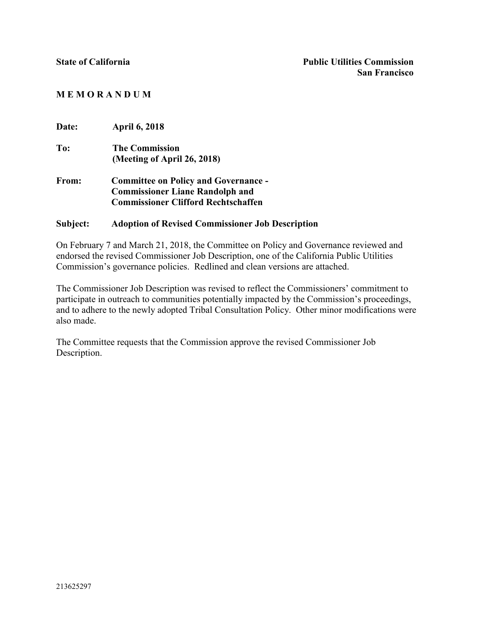## **M E M O R A N D U M**

| <b>Date:</b> | <b>April 6, 2018</b>                        |  |
|--------------|---------------------------------------------|--|
| To:          | <b>The Commission</b>                       |  |
|              | (Meeting of April 26, 2018)                 |  |
| From:        | <b>Committee on Policy and Governance -</b> |  |
|              | <b>Commissioner Liane Randolph and</b>      |  |
|              | <b>Commissioner Clifford Rechtschaffen</b>  |  |
|              |                                             |  |

## **Subject: Adoption of Revised Commissioner Job Description**

On February 7 and March 21, 2018, the Committee on Policy and Governance reviewed and endorsed the revised Commissioner Job Description, one of the California Public Utilities Commission's governance policies. Redlined and clean versions are attached.

The Commissioner Job Description was revised to reflect the Commissioners' commitment to participate in outreach to communities potentially impacted by the Commission's proceedings, and to adhere to the newly adopted Tribal Consultation Policy. Other minor modifications were also made.

The Committee requests that the Commission approve the revised Commissioner Job Description.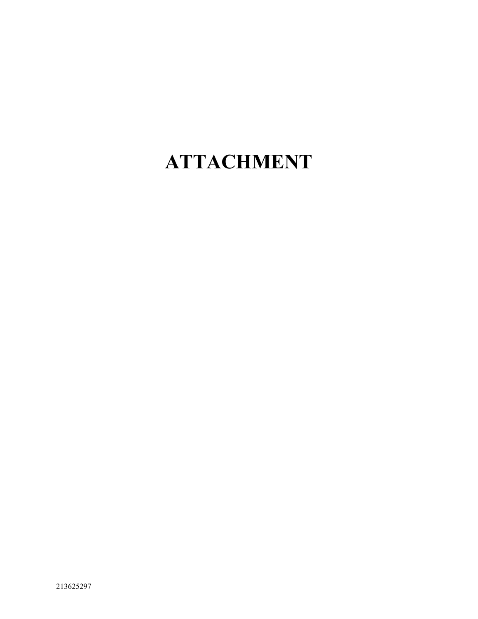## **ATTACHMENT**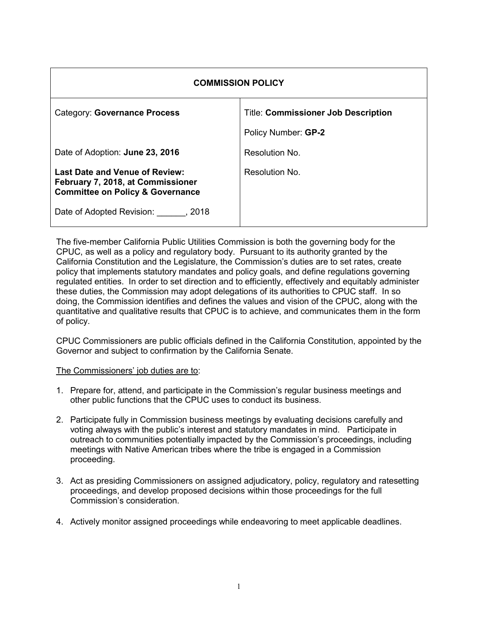| <b>COMMISSION POLICY</b>                                                                                                  |                                            |  |  |
|---------------------------------------------------------------------------------------------------------------------------|--------------------------------------------|--|--|
| Category: Governance Process                                                                                              | <b>Title: Commissioner Job Description</b> |  |  |
|                                                                                                                           | Policy Number: GP-2                        |  |  |
| Date of Adoption: June 23, 2016                                                                                           | Resolution No.                             |  |  |
| <b>Last Date and Venue of Review:</b><br>February 7, 2018, at Commissioner<br><b>Committee on Policy &amp; Governance</b> | Resolution No.                             |  |  |
| Date of Adopted Revision: , 2018                                                                                          |                                            |  |  |

The five-member California Public Utilities Commission is both the governing body for the CPUC, as well as a policy and regulatory body. Pursuant to its authority granted by the California Constitution and the Legislature, the Commission's duties are to set rates, create policy that implements statutory mandates and policy goals, and define regulations governing regulated entities. In order to set direction and to efficiently, effectively and equitably administer these duties, the Commission may adopt delegations of its authorities to CPUC staff. In so doing, the Commission identifies and defines the values and vision of the CPUC, along with the quantitative and qualitative results that CPUC is to achieve, and communicates them in the form of policy.

CPUC Commissioners are public officials defined in the California Constitution, appointed by the Governor and subject to confirmation by the California Senate.

The Commissioners' job duties are to:

- 1. Prepare for, attend, and participate in the Commission's regular business meetings and other public functions that the CPUC uses to conduct its business.
- 2. Participate fully in Commission business meetings by evaluating decisions carefully and voting always with the public's interest and statutory mandates in mind. Participate in outreach to communities potentially impacted by the Commission's proceedings, including meetings with Native American tribes where the tribe is engaged in a Commission proceeding.
- 3. Act as presiding Commissioners on assigned adjudicatory, policy, regulatory and ratesetting proceedings, and develop proposed decisions within those proceedings for the full Commission's consideration.
- 4. Actively monitor assigned proceedings while endeavoring to meet applicable deadlines.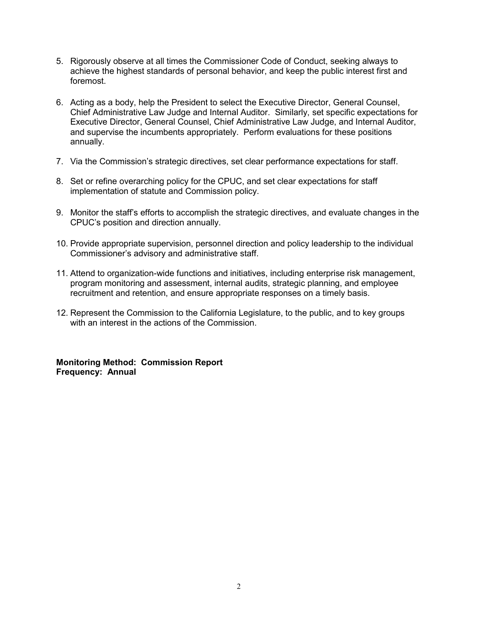- 5. Rigorously observe at all times the Commissioner Code of Conduct, seeking always to achieve the highest standards of personal behavior, and keep the public interest first and foremost.
- 6. Acting as a body, help the President to select the Executive Director, General Counsel, Chief Administrative Law Judge and Internal Auditor. Similarly, set specific expectations for Executive Director, General Counsel, Chief Administrative Law Judge, and Internal Auditor, and supervise the incumbents appropriately. Perform evaluations for these positions annually.
- 7. Via the Commission's strategic directives, set clear performance expectations for staff.
- 8. Set or refine overarching policy for the CPUC, and set clear expectations for staff implementation of statute and Commission policy.
- 9. Monitor the staff's efforts to accomplish the strategic directives, and evaluate changes in the CPUC's position and direction annually.
- 10. Provide appropriate supervision, personnel direction and policy leadership to the individual Commissioner's advisory and administrative staff.
- 11. Attend to organization-wide functions and initiatives, including enterprise risk management, program monitoring and assessment, internal audits, strategic planning, and employee recruitment and retention, and ensure appropriate responses on a timely basis.
- 12. Represent the Commission to the California Legislature, to the public, and to key groups with an interest in the actions of the Commission.

**Monitoring Method: Commission Report Frequency: Annual**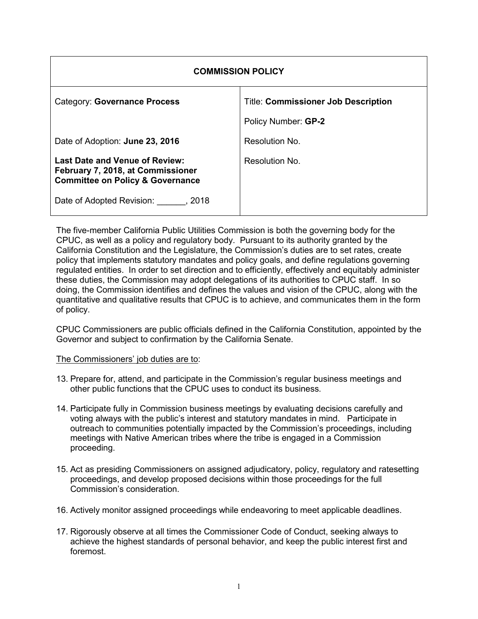| <b>COMMISSION POLICY</b>                                                                                                  |                                            |  |  |
|---------------------------------------------------------------------------------------------------------------------------|--------------------------------------------|--|--|
| <b>Category: Governance Process</b>                                                                                       | <b>Title: Commissioner Job Description</b> |  |  |
|                                                                                                                           | Policy Number: GP-2                        |  |  |
| Date of Adoption: June 23, 2016                                                                                           | Resolution No.                             |  |  |
| <b>Last Date and Venue of Review:</b><br>February 7, 2018, at Commissioner<br><b>Committee on Policy &amp; Governance</b> | Resolution No.                             |  |  |
| Date of Adopted Revision: , 2018                                                                                          |                                            |  |  |

The five-member California Public Utilities Commission is both the governing body for the CPUC, as well as a policy and regulatory body. Pursuant to its authority granted by the California Constitution and the Legislature, the Commission's duties are to set rates, create policy that implements statutory mandates and policy goals, and define regulations governing regulated entities. In order to set direction and to efficiently, effectively and equitably administer these duties, the Commission may adopt delegations of its authorities to CPUC staff. In so doing, the Commission identifies and defines the values and vision of the CPUC, along with the quantitative and qualitative results that CPUC is to achieve, and communicates them in the form of policy.

CPUC Commissioners are public officials defined in the California Constitution, appointed by the Governor and subject to confirmation by the California Senate.

The Commissioners' job duties are to:

- 13. Prepare for, attend, and participate in the Commission's regular business meetings and other public functions that the CPUC uses to conduct its business.
- 14. Participate fully in Commission business meetings by evaluating decisions carefully and voting always with the public's interest and statutory mandates in mind. Participate in outreach to communities potentially impacted by the Commission's proceedings, including meetings with Native American tribes where the tribe is engaged in a Commission proceeding.
- 15. Act as presiding Commissioners on assigned adjudicatory, policy, regulatory and ratesetting proceedings, and develop proposed decisions within those proceedings for the full Commission's consideration.
- 16. Actively monitor assigned proceedings while endeavoring to meet applicable deadlines.
- 17. Rigorously observe at all times the Commissioner Code of Conduct, seeking always to achieve the highest standards of personal behavior, and keep the public interest first and foremost.